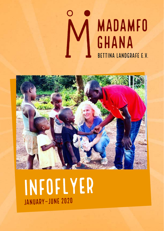



# Infoflyer January–June 2020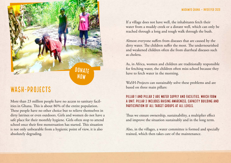

# WaSH-PROJECTS

More than 23 million people have no access to sanitary facilities in Ghana. This is about 86% of the entire population. These people have no other choice but to relieve themselves in dirty latrines or even outdoors. Girls and women do not have a safe place for their monthly hygiene. Girls often stop to attend school once their first menstruation has started. This situation is not only unbearable from a hygienic point of view, it is also absolutely degrading.

If a village does not have well, the inhabitants fetch their water from a muddy creek or a distant well, which can only be reached through a long and tough walk through the bush.

Almost everyone suffers from diseases that are caused by the dirty water. The children suffer the most. The undernourished and weakened children often die from diarrheal diseases such as cholera.

As, in Africa, women and children are traditionally responsible for fetching water, the children often miss school because they have to fetch water in the morning.

WaSH-Projects can sustainably solve these problems and are based on three main pillars:

#### PILLAR 1 AND PILLAR 2 ARE WATER SUPPLY AND FACILITIES, WHICH FORM a unit. Pillar 3 includes raising awareness, capacity building and participation of all target groups at all levels.

Thus we ensure ownership, sustainability, a multiplier effect and improve the situation sustainably and in the long term.

Also, in the villages, a water committee is formed and specially trained, which then takes care of the maintenance.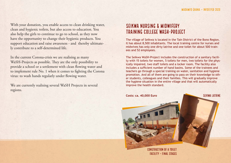With your donation, you enable access to clean drinking water, clean and hygienic toilets, but also access to education. You also help the girls to continue to go to school, as they now have the opportunity to change their hygienic products. You support education and raise awareness - and thereby ultimately contribute to a self-determined life.

In the current Corona-crisis we are realising as many WaSH-Projects as possible. They are the only possibility to provide a school or a settlement with clean flowing water and to implement rule No. 1 when it comes to fighting the Corona virus: to wash hands regularly under flowing water.

We are currently realising several WaSH Projects in several regions.

### SEIKWA NURSING & MIDWIFERY TRAINING COLLEGE WaSH-PROJECT

The village of Seikwa is located in the Tain District of the Bono Region. It has about 8,500 inhabitants. The local training centre for nurses and midwives has only one dirty latrine and one toilet for about 500 trainees and 52 employees.

The Seikwa WaSH-Project includes the construction of a sanitary facility with 15 toilets for women, 5 toilets for men, two toilets for the physically impaired, two staff toilets and a locker room. The facility also includes a sufficient number of hand basins. Some of the trainees and teachers go through a special training on water, sanitation and hygiene promotion. And all of them are going to pass on their knowledge to other students, colleagues and their families. This will gradually improve the hygiene situation in the entire village and that will automatically improve the health standard.



facility – final stages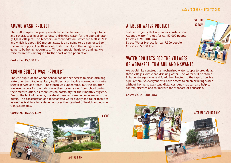**WELL IN** ESRESO

### APEWU WaSH-PROJECT

The well in Apewu urgently needs to be mechanised with storage tanks and several taps in order to ensure drinking water for the approximately 1,000 villagers. The teachers' accommodation, which we built in 2015 and which is about 800 meters away, is also going to be connected to the water supply. The 18 year old toilet facility in the village is also going to be being modernised. Through special hygiene trainings, we raise awareness amongst a further part of the population.

**Costs: ca. 15,500 Euro**

### ABONO SCHOOL WaSH-PROJECT

The 252 pupils of the Abono School had neither access to clean drinking water, nor to suitable sanitary facilities. A pit latrine covered with metal sheets served as a toilet. The stench was unbearable. But the situation was even worse for the girls, since they stayed away from school during their menstruation, as there was no possibility for their monthly hygiene. Due to the lack of hygiene, diarrheal diseases were common amongst the pupils. The construction of a mechanized water supply and toilet facilities, as well as trainings in hygiene improves the standard of health and education sustainably.

**Costs: ca. 16,000 Euro**





**ABONO** 

TAPPING POINT

## ATEBUBU WATER PROJECT

Further projects that are under construction: Atebubu Water Project for ca. 50,000 people **Costs: ca. 90,000 Euro** Esreso Water Project for ca. 7,500 people **Costs: ca. 5,000 Euro**

### WATER PROJECTS FOR THE VILLAGES OF WORAKESE, TUMIABU AND NKWANTA

We would like construct a mechanized water supply to provide all three villages with clean drinking water. The water will be stored in large storage tanks and it will be directed to the taps through a pipe system. So everyone will have access to clean drinking water – without having to walk long distances. And that can also help to contain diseases and to improve the standard of education.

**Costs: ca. 23,000 Euro**

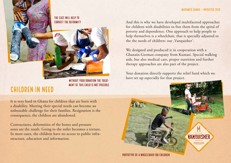#### THE CAST WILL HELP TO CORRECT THE DEFORMITY



WITHOUT YOUR DONATION THE TREAT-MENT OF THIS CHILD IS NOT POSSIBLE

# CHILDREN IN NEED

It is very hard in Ghana for children that are born with a disability. Meeting their special needs can become an unbearable challenge for their families. Resignation is the consequence, the children are abandoned.

Contractures, deformities of the bones and pressure sores are the result. Going to the toilet becomes a torture. In most cases, the children have no access to public infrastructure, education and information.

And this is why we have developed multifaceted approaches for children with disabilities to free them from the spiral of poverty and dependence. One approach to help people to help themselves is a wheelchair, that is specially adjusted to the the needs of children: our , Vanquisher'.

We designed and produced it in cooperation with a Ghanain-German company from Kumasi. Special walking aids, but also medical care, proper nutrition and further therapy approaches are also part of the project.

Your donation directly supports the relief fund which we have set up especially for that project.

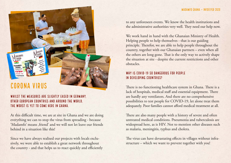# Corona Virus

#### WHILST THE MEASURES ARE SLIGHTLY EASED IN GERMANY other European countries and around the world, the worst is yet to come here in Ghana.

At this difficult time, we are at site in Ghana and we are doing everything we can to stop the virus from spreading - because 'Madamfo' means friend' and we will not let leave our friends behind in a situation like this!

Since we have always realised our projects with locals exclusively, we were able to establish a great network throughout the country - and that helps us to react quickly and efficiently to any unforeseen events. We know the health institutions and the administrative authorities very well. They need our help now.

We work hand in hand with the Ghanaian Ministry of Health. Helping people to help themselves - that is our guiding principle. Therefor, we are able to help people throughout the country, together with our Ghanaian partners – even when all the others are long gone. That is the only way to actively shape the situation at site - despite the current restrictions and other obstacles.

#### WHY IS COVID-19 SO DANGEROUS FOR PEOPLE IN DEVELOPING COUNTRIES?

There is no functioning healthcare system in Ghana. There is a lack of hospitals, medical staff and essential equipment. There are hardly any ventilators. And there are no comprehensive possibilities to test people for COVID-19, let alone treat them adequately. Poor families cannot afford medical treatment at all.

There are also many people with a history of severe and often untreated medical conditions. Pneumonia and tuberculosis are widespread here, as is HIV. Not to mention other diseases such as malaria, meningitis, typhus and cholera.

The virus can have devastating effects in villages without infrastructure – which we want to prevent together with you!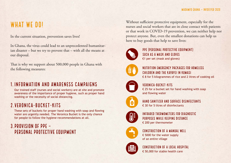# WHAT WE DO!

In the current situation, prevention saves lives!

In Ghana, the virus could lead to an unprecedented humanitarian disaster – but we try to prevent that – with all the means at our disposal.

That is why we support about 500,000 people in Ghana with the following measures:

### 1. INFORMATION AND AWARENESS CAMPAIGNS

Our trained staff (nurses and social workers) are at site and promote awareness of the importance of proper hygiene, such as proper hand washing or the necessity of social distancing.

### 2.VERONICA-BUCKET-KITS

These sets of buckets for proper hand washing with soap and flowing water are urgently needed. The Veronica Bucket is the only chance for people to follow the hygiene-recommendations at all.

### 3.PROVISION OF PPE – PERSONAL PROTECTIVE EQUIPMENT

Without sufficient protective equipment, especially for the nurses and social workers that are in close contact with patients or that work in COVID-19 prevention, we can neither help nor protect anyone. But, even the smallest donations can help us here to buy goods that help to save lives:



PPE (PERSONAL PROTECTIVE EQUIPMENT) SUCH AS A MASK AND GLOVES €1 per set (mask and gloves)



### NUTRITION EMERGENCY PACKAGES FOR HOMELESS CHILDREN AND THE KAYAYEI IN KUMASI

€ 8 for 5 kilogrammes of rice and 2 litres of cooking oil



#### VEDANICA-BUCKET-KITS € 25 for a bucket set for hand washing with soap and flowing water



HAND SANITIZER AND SURFACE DISINFECTANTS € 30 for 5 litres of disinfectants



INFRARED THERMOMETERS FOR DIAGNOSTIC PURPOSES WHILE KEEPING DISTANCE € 200 per thermometer



CONSTRUCTION OF A MANUAL WELL € 5000 for the water supply of an entire village



CONSTRUCTION OF A LOCAL HOSPITAL € 50,000 for stable health care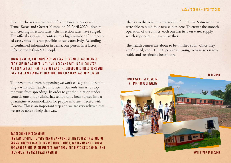Since the lockdown has been lifted in Greater Accra with Tema, Kasoa and Greater Kumasi on 20 April 2020 - despite of increasing infection rates - the infection rates have surged. The official cases are in contrast to a high number of unreported cases, since it is not possible to test extensively. According to confirmed information in Tema, one person in a factory infected more than 500 people!

#### UNFORTUNATELY, THE EMERGENCY WE FEARED THE MOST HAS OCCURED: THE VIRUS HAS ARRIVED IN THE VILLAGES AND WITHIN THE COUNTRY. WE GREATLY FEAR THAT THE VIRUS AND THE UNREPORTED INFECTIONS WILL INCREASE EXPONENTIALLY, NOW THAT THE LOCKDOWN HAS BEEN LIFTED.

To prevent that from happening we work closely and unremittingly with local health authorities. Our only aim is to stop the virus from spreading. In order to get the situation under control, one of our clinics has temporarily been turned into a quarantine accommodation for people who are infected with Corona. This is an important step and we are very relieved that we are be able to help that way.

RACKGROUND INFORMATION-THE TAIN DISTRICT IS VERY REMOTE AND ONE OF THE POOREST REGIONS OF GHANA. THE VILLAGES OF TANOSO NJUA, TAINSO, TANOKROM AND TIADENE ARE ABOUT 5 AND 35 KILOMETRES AWAY FROM THE DISTRICT'S CAPITAL AND THUS FROM THE NEXT HEALTH CENTRE.

Thanks to the generous donations of Dr. Theis Naturwaren, we were able to build four new clinics here. To ensure the smooth operation of the clinics, each one has its own water supply which is priceless in times like these.

The health centres are about to be finished soon. Once they are finished, about10,000 people are going to have access to a stable and sustainable health care.

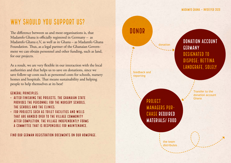# WHY SHOULD YOU SUPPORT US?

The difference between us and most organisations is, that Madamfo Ghana is officially registered in Germany – as Madamfo Ghana e.V, as well as in Ghana – as Madamfo Ghana Foundation. Thus, as a legal partner of the Ghanaian Government we can obtain personnel and other funding, such as land, for our projects.

As a result, we are very flexible in our interaction with the local authorities and that helps us to save on donations, since we save follow-up costs such as personnel costs for schools, nursery homes and hospitals. That means sustainability and helping people to help themselves at its best!

#### General principles:

- After finishing the projects, the Ghanaian State provides the personnel for the nursery schools, the schools and the clinics.
- For projects such as toilet facilities and wells that are handed over to the village community after completion, the village independently forms a committee that is responsible for maintenance.

Find our German registration documents on our homepage.

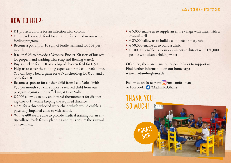# HOW TO HELP:

- $\bullet \in 1$  protects a nurse for an infection with corona.
- € 9 provide enough food for a month for a child in our school feeding program.
- Become a patron for 10 sqm of fertile farmland for 10€ per month.
- It takes € 25 to provide a Veronica-Bucket-Kit (sets of buckets for proper hand washing with soap and flowing water).
- Buy a chicken for  $\epsilon$  10 or a a bag of chicken feed for  $\epsilon$  50
- Help us to cover the running expenses for the children's home. You can buy a board game for  $\epsilon$ 15 a schoolbag for  $\epsilon$  25 and a book for  $\in$  8.
- Become a sponsor for a fisher-child from Lake Volta. With €50 per month you can support a rescued child from our program against child trafficking at Lake Volta.
- $\in$  200 $\in$  allow us to buy an infrared thermometer for diagnosing Covid-19 whilst keeping the required distance.
- € 350 for a three-wheeled wheelchair, which would enable a physically impaired child to visit school.
- With  $\epsilon$  400 we are able to provide medical training for an entire village, teach family planning and thus ensure the survival of newborns.
- $\epsilon$  5,000 enable us to supply an entire village with water with a manual well.
- $\bullet \in$  25,000 allow us to build a complete primary school.
- $\epsilon$  50,000 enable us to build a clinic.
- $\in$  100,000 enable us to supply an entire district with 150,000 people with clean drinking water

Of course, there are many other possibilities to support us. Find further information on our homepage: **www.madamfo-ghana.de**

Follow us on Instagram:  $\boxed{\bigcirc}$ /madamfo\_ghana or Facebook: /Madamfo.Ghana

# THANK YOU SO MUCH!

**DONAL** Now